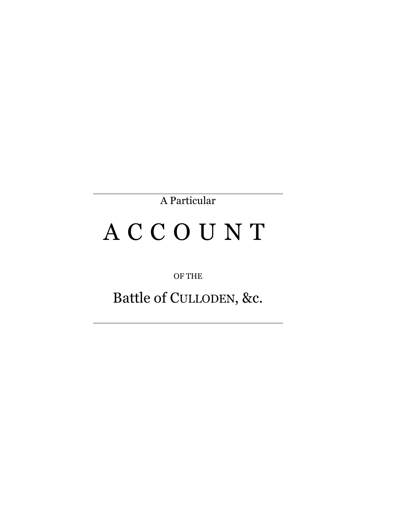A Particular

## A C C O U N T

OF THE

Battle of CULLODEN, &c.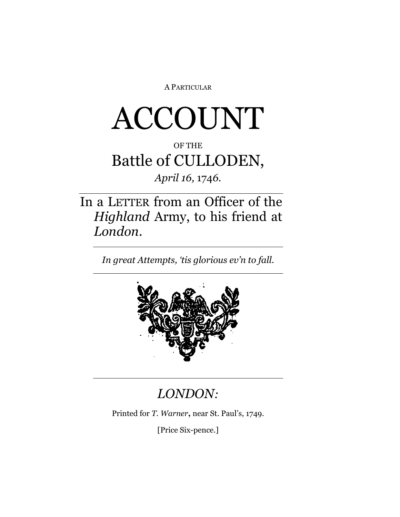A PARTICULAR

# ACCOUNT

#### OF THE Battle of CULLODEN,

#### *April 16,* 174*6.*

In a LETTER from an Officer of the *Highland* Army, to his friend at *London.*

*In great Attempts, 'tis glorious ev'n to fall.*



#### *LONDON:*

Printed for *T. Warner***,** near St. Paul's, 1749.

[Price Six-pence.]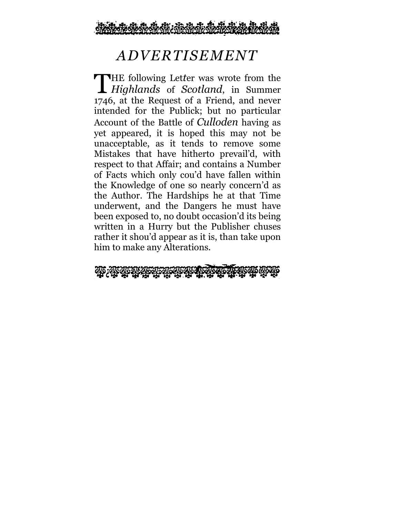

#### *ADVERTISEMENT*

THE following Letter was wrote from the Highlands of Scotland, in Summer *Highlands* of *Scotland*, in Summer 1746, at the Request of a Friend, and never intended for the Publick; but no particular Account of the Battle of *Culloden* having as yet appeared, it is hoped this may not be unacceptable, as it tends to remove some Mistakes that have hitherto prevail'd, with respect to that Affair; and contains a Number of Facts which only cou'd have fallen within the Knowledge of one so nearly concern'd as the Author. The Hardships he at that Time underwent, and the Dangers he must have been exposed to, no doubt occasion'd its being written in a Hurry but the Publisher chuses rather it shou'd appear as it is, than take upon him to make any Alterations.

che : che che che che che che che che che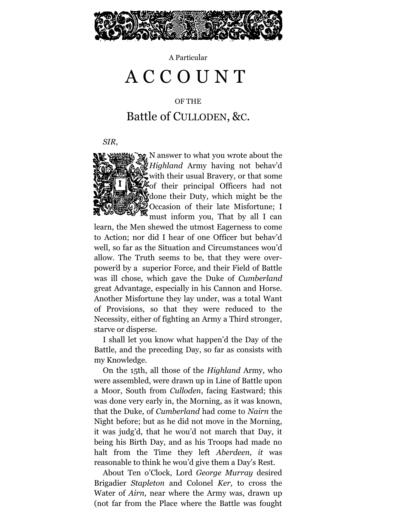

A Particular

### A C C O U N T

OF THE

#### Battle of CULLODEN, &C.

*SIR*,



*Highland* Army having not behav'd with their usual Bravery, or that some  $\frac{1}{4}$  of their principal Officers had not done their Duty, which might be the Occasion of their late Misfortune; I must inform you, That by all I can

learn, the Men shewed the utmost Eagerness to come to Action; nor did I hear of one Officer but behav'd well, so far as the Situation and Circumstances wou'd allow. The Truth seems to be, that they were overpower'd by a superior Force, and their Field of Battle was ill chose, which gave the Duke of *Cumberland* great Advantage, especially in his Cannon and Horse. Another Misfortune they lay under, was a total Want of Provisions, so that they were reduced to the Necessity, either of fighting an Army a Third stronger, starve or disperse.

I shall let you know what happen'd the Day of the Battle, and the preceding Day, so far as consists with my Knowledge.

On the 15th, all those of the *Highland* Army, who were assembled, were drawn up in Line of Battle upon a Moor, South from *Culloden*, facing Eastward; this was done very early in, the Morning, as it was known, that the Duke, of *Cumberland* had come to *Nairn* the Night before; but as he did not move in the Morning, it was judg'd, that he wou'd not march that Day, it being his Birth Day, and as his Troops had made no halt from the Time they left *Aberdeen*, *it* was reasonable to think he wou'd give them a Day's Rest.

About Ten o'Clock, Lord *George Murray* desired Brigadier *Stapleton* and Colonel *Ker,* to cross the Water of *Airn,* near where the Army was, drawn up (not far from the Place where the Battle was fought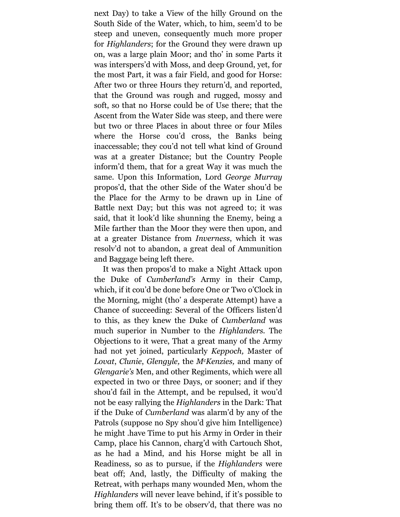next Day) to take a View of the hilly Ground on the South Side of the Water, which, to him, seem'd to be steep and uneven, consequently much more proper for *Highlanders*; for the Ground they were drawn up on, was a large plain Moor; and tho' in some Parts it was interspers'd with Moss, and deep Ground, yet, for the most Part, it was a fair Field, and good for Horse: After two or three Hours they return'd, and reported, that the Ground was rough and rugged, mossy and soft, so that no Horse could be of Use there; that the Ascent from the Water Side was steep, and there were but two or three Places in about three or four Miles where the Horse cou'd cross, the Banks being inaccessable; they cou'd not tell what kind of Ground was at a greater Distance; but the Country People inform'd them, that for a great Way it was much the same. Upon this Information, Lord *George Murray* propos'd, that the other Side of the Water shou'd be the Place for the Army to be drawn up in Line of Battle next Day; but this was not agreed to; it was said, that it look'd like shunning the Enemy, being a Mile farther than the Moor they were then upon, and at a greater Distance from *Inverness*, which it was resolv'd not to abandon, a great deal of Ammunition and Baggage being left there.

It was then propos'd to make a Night Attack upon the Duke of *Cumberland's* Army in their Camp, which, if it cou'd be done before One or Two o'Clock in the Morning, might (tho' a desperate Attempt) have a Chance of succeeding: Several of the Officers listen'd to this, as they knew the Duke of *Cumberland* was much superior in Number to the *Highlanders.* The Objections to it were, That a great many of the Army had not yet joined, particularly *Keppoch,* Master of *Lovat*, *Clunie*, *Glengyle,* the *McKenzies,* and many of *Glengarie's* Men, and other Regiments, which were all expected in two or three Days, or sooner; and if they shou'd fail in the Attempt, and be repulsed, it wou'd not be easy rallying the *Highlanders* in the Dark: That if the Duke of *Cumberland* was alarm'd by any of the Patrols (suppose no Spy shou'd give him Intelligence) he might .have Time to put his Army in Order in their Camp, place his Cannon, charg'd with Cartouch Shot, as he had a Mind, and his Horse might be all in Readiness, so as to pursue, if the *Highlanders* were beat off; And, lastly, the Difficulty of making the Retreat, with perhaps many wounded Men, whom the *Highlanders* will never leave behind, if it's possible to bring them off. It's to be observ'd, that there was no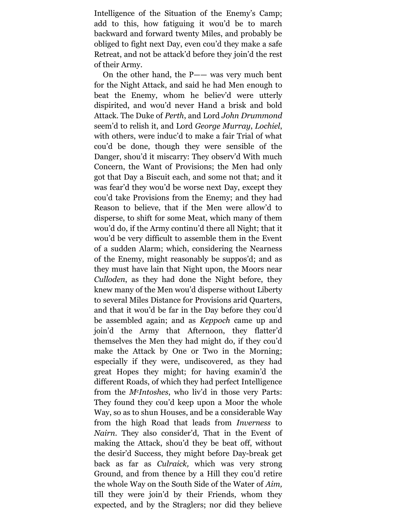Intelligence of the Situation of the Enemy's Camp; add to this, how fatiguing it wou'd be to march backward and forward twenty Miles, and probably be obliged to fight next Day, even cou'd they make a safe Retreat, and not be attack'd before they join'd the rest of their Army.

On the other hand, the P—— was very much bent for the Night Attack, and said he had Men enough to beat the Enemy, whom he believ'd were utterly dispirited, and wou'd never Hand a brisk and bold Attack. The Duke of *Perth*, and Lord *John Drummond* seem'd to relish it, and Lord *George Murray*, *Lochiel*, with others, were induc'd to make a fair Trial of what cou'd be done, though they were sensible of the Danger, shou'd it miscarry: They observ'd With much Concern, the Want of Provisions; the Men had only got that Day a Biscuit each, and some not that; and it was fear'd they wou'd be worse next Day, except they cou'd take Provisions from the Enemy; and they had Reason to believe, that if the Men were allow'd to disperse, to shift for some Meat, which many of them wou'd do, if the Army continu'd there all Night; that it wou'd be very difficult to assemble them in the Event of a sudden Alarm; which, considering the Nearness of the Enemy, might reasonably be suppos'd; and as they must have lain that Night upon, the Moors near *Culloden*, as they had done the Night before, they knew many of the Men wou'd disperse without Liberty to several Miles Distance for Provisions arid Quarters, and that it wou'd be far in the Day before they cou'd be assembled again; and as *Keppoch* came up and join'd the Army that Afternoon, they flatter'd themselves the Men they had might do, if they cou'd make the Attack by One or Two in the Morning; especially if they were, undiscovered, as they had great Hopes they might; for having examin'd the different Roads, of which they had perfect Intelligence from the *McIntoshes*, who liv'd in those very Parts: They found they cou'd keep upon a Moor the whole Way, so as to shun Houses, and be a considerable Way from the high Road that leads from *Inverness* to *Nairn.* They also consider'd, That in the Event of making the Attack, shou'd they be beat off, without the desir'd Success, they might before Day-break get back as far as *Culraick,* which was very strong Ground, and from thence by a Hill they cou'd retire the whole Way on the South Side of the Water of *Aim,* till they were join'd by their Friends, whom they expected, and by the Straglers; nor did they believe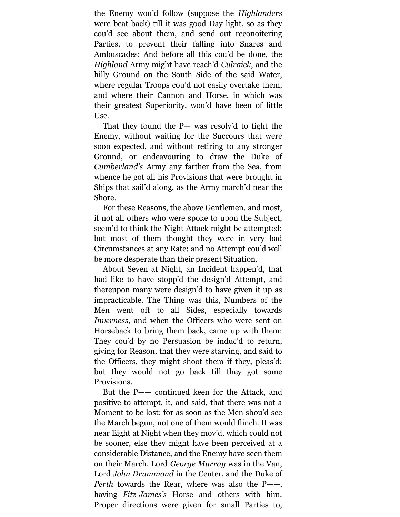the Enemy wou'd follow (suppose the *Highlanders* were beat back) till it was good Day-light, so as they cou'd see about them, and send out reconoitering Parties, to prevent their falling into Snares and Ambuscades: And before all this cou'd be done, the *Highland* Army might have reach'd *Culraick*, and the hilly Ground on the South Side of the said Water, where regular Troops cou'd not easily overtake them, and where their Cannon and Horse, in which was their greatest Superiority, wou'd have been of little Use.

That they found the P— was resolv'd to fight the Enemy, without waiting for the Succours that were soon expected, and without retiring to any stronger Ground, or endeavouring to draw the Duke of *Cumberland's* Army any farther from the Sea, from whence he got all his Provisions that were brought in Ships that sail'd along, as the Army march'd near the Shore.

For these Reasons, the above Gentlemen, and most, if not all others who were spoke to upon the Subject, seem'd to think the Night Attack might be attempted; but most of them thought they were in very bad Circumstances at any Rate; and no Attempt cou'd well be more desperate than their present Situation.

About Seven at Night, an Incident happen'd, that had like to have stopp'd the design'd Attempt, and thereupon many were design'd to have given it up as impracticable. The Thing was this, Numbers of the Men went off to all Sides, especially towards *Inverness,* and when the Officers who were sent on Horseback to bring them back, came up with them: They cou'd by no Persuasion be induc'd to return, giving for Reason, that they were starving, and said to the Officers, they might shoot them if they, pleas'd; but they would not go back till they got some Provisions.

But the P—— continued keen for the Attack, and positive to attempt, it, and said, that there was not a Moment to be lost: for as soon as the Men shou'd see the March begun, not one of them would flinch. It was near Eight at Night when they mov'd, which could not be sooner, else they might have been perceived at a considerable Distance, and the Enemy have seen them on their March. Lord *George Murray* was in the Van, Lord *John Drummond* in the Center, and the Duke of *Perth* towards the Rear, where was also the P——, having *Fitz-James's* Horse and others with him. Proper directions were given for small Parties to,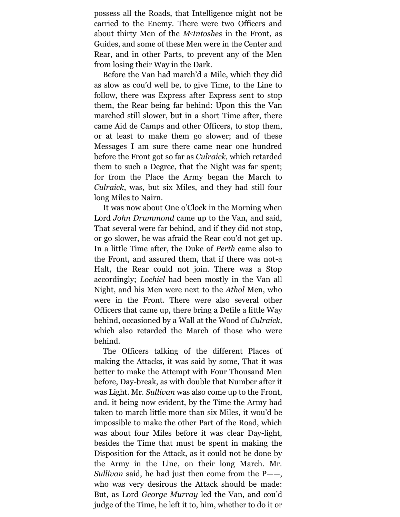possess all the Roads, that Intelligence might not be carried to the Enemy. There were two Officers and about thirty Men of the *McIntoshes* in the Front, as Guides, and some of these Men were in the Center and Rear, and in other Parts, to prevent any of the Men from losing their Way in the Dark.

Before the Van had march'd a Mile, which they did as slow as cou'd well be, to give Time, to the Line to follow, there was Express after Express sent to stop them, the Rear being far behind: Upon this the Van marched still slower, but in a short Time after, there came Aid de Camps and other Officers, to stop them, or at least to make them go slower; and of these Messages I am sure there came near one hundred before the Front got so far as *Culraick,* which retarded them to such a Degree, that the Night was far spent; for from the Place the Army began the March to *Culraick*, was, but six Miles, and they had still four long Miles to Nairn.

It was now about One o'Clock in the Morning when Lord *John Drummond* came up to the Van, and said, That several were far behind, and if they did not stop, or go slower, he was afraid the Rear cou'd not get up. In a little Time after, the Duke of *Perth* came also to the Front, and assured them, that if there was not-a Halt, the Rear could not join. There was a Stop accordingly; *Lochiel* had been mostly in the Van all Night, and his Men were next to the *Athol* Men, who were in the Front. There were also several other Officers that came up, there bring a Defile a little Way behind, occasioned by a Wall at the Wood of *Culraick,* which also retarded the March of those who were behind.

The Officers talking of the different Places of making the Attacks, it was said by some, That it was better to make the Attempt with Four Thousand Men before, Day-break, as with double that Number after it was Light. Mr. *Sullivan* was also come up to the Front, and. it being now evident, by the Time the Army had taken to march little more than six Miles, it wou'd be impossible to make the other Part of the Road, which was about four Miles before it was clear Day-light, besides the Time that must be spent in making the Disposition for the Attack, as it could not be done by the Army in the Line, on their long March. Mr. *Sullivan* said, he had just then come from the P——, who was very desirous the Attack should be made: But, as Lord *George Murray* led the Van, and cou'd judge of the Time, he left it to, him, whether to do it or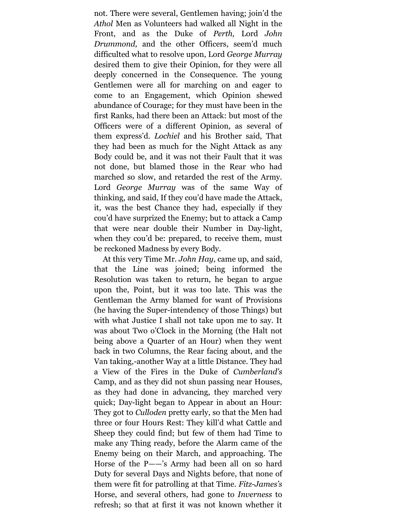not. There were several, Gentlemen having; join'd the *Athol* Men as Volunteers had walked all Night in the Front, and as the Duke of *Perth,* Lord *John Drummond,* and the other Officers, seem'd much difficulted what to resolve upon, Lord *George Murray* desired them to give their Opinion, for they were all deeply concerned in the Consequence. The young Gentlemen were all for marching on and eager to come to an Engagement, which Opinion shewed abundance of Courage; for they must have been in the first Ranks, had there been an Attack: but most of the Officers were of a different Opinion, as several of them express'd. *Lochiel* and his Brother said, That they had been as much for the Night Attack as any Body could be, and it was not their Fault that it was not done, but blamed those in the Rear who had marched so slow, and retarded the rest of the Army. Lord *George Murray* was of the same Way of thinking, and said, If they cou'd have made the Attack, it, was the best Chance they had, especially if they cou'd have surprized the Enemy; but to attack a Camp that were near double their Number in Day-light, when they cou'd be: prepared, to receive them, must be reckoned Madness by every Body.

At this very Time Mr. *John Hay*, came up, and said, that the Line was joined; being informed the Resolution was taken to return, he began to argue upon the, Point, but it was too late. This was the Gentleman the Army blamed for want of Provisions (he having the Super-intendency of those Things) but with what Justice I shall not take upon me to say. It was about Two o'Clock in the Morning (the Halt not being above a Quarter of an Hour) when they went back in two Columns, the Rear facing about, and the Van taking,-another Way at a little Distance. They had a View of the Fires in the Duke of *Cumberland's* Camp, and as they did not shun passing near Houses, as they had done in advancing, they marched very quick; Day-light began to Appear in about an Hour: They got to *Culloden* pretty early, so that the Men had three or four Hours Rest: They kill'd what Cattle and Sheep they could find; but few of them had Time to make any Thing ready, before the Alarm came of the Enemy being on their March, and approaching. The Horse of the P——'s Army had been all on so hard Duty for several Days and Nights before, that none of them were fit for patrolling at that Time. *Fitz-James's*  Horse, and several others, had gone to *Inverness* to refresh; so that at first it was not known whether it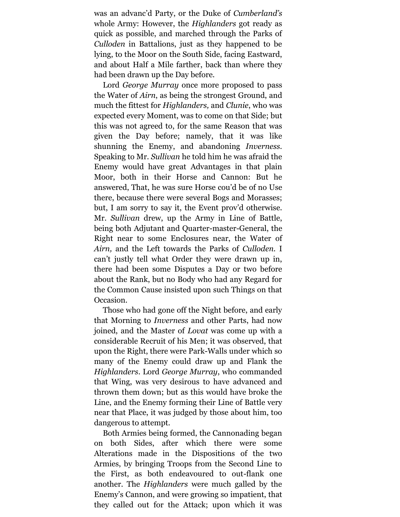was an advanc'd Party, or the Duke of *Cumberland's* whole Army: However, the *Highlanders* got ready as quick as possible, and marched through the Parks of *Culloden* in Battalions, just as they happened to be lying, to the Moor on the South Side, facing Eastward, and about Half a Mile farther, back than where they had been drawn up the Day before.

Lord *George Murray* once more proposed to pass the Water of *Airn*, as being the strongest Ground, and much the fittest for *Highlanders,* and *Clunie*, who was expected every Moment, was to come on that Side; but this was not agreed to, for the same Reason that was given the Day before; namely, that it was like shunning the Enemy, and abandoning *Inverness.* Speaking to Mr. *Sullivan* he told him he was afraid the Enemy would have great Advantages in that plain Moor, both in their Horse and Cannon: But he answered, That, he was sure Horse cou'd be of no Use there, because there were several Bogs and Morasses; but, I am sorry to say it, the Event prov'd otherwise. Mr. *Sullivan* drew, up the Army in Line of Battle, being both Adjutant and Quarter-master-General, the Right near to some Enclosures near, the Water of *Airn,* and the Left towards the Parks of *Culloden.* I can't justly tell what Order they were drawn up in, there had been some Disputes a Day or two before about the Rank, but no Body who had any Regard for the Common Cause insisted upon such Things on that Occasion.

Those who had gone off the Night before, and early that Morning to *Inverness* and other Parts, had now joined, and the Master of *Lovat* was come up with a considerable Recruit of his Men; it was observed, that upon the Right, there were Park-Walls under which so many of the Enemy could draw up and Flank the *Highlanders*. Lord *George Murray*, who commanded that Wing, was very desirous to have advanced and thrown them down; but as this would have broke the Line, and the Enemy forming their Line of Battle very near that Place, it was judged by those about him, too dangerous to attempt.

Both Armies being formed, the Cannonading began on both Sides, after which there were some Alterations made in the Dispositions of the two Armies, by bringing Troops from the Second Line to the First, as both endeavoured to out-flank one another. The *Highlanders* were much galled by the Enemy's Cannon, and were growing so impatient, that they called out for the Attack; upon which it was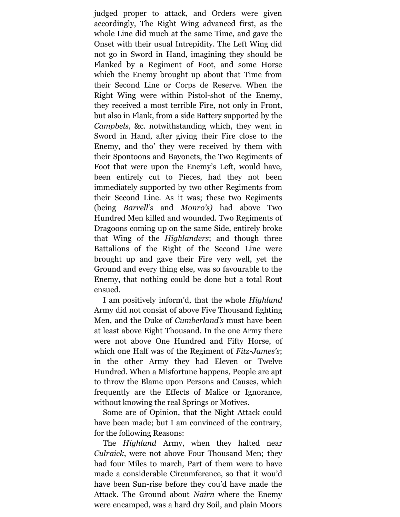judged proper to attack, and Orders were given accordingly, The Right Wing advanced first, as the whole Line did much at the same Time, and gave the Onset with their usual Intrepidity. The Left Wing did not go in Sword in Hand, imagining they should be Flanked by a Regiment of Foot, and some Horse which the Enemy brought up about that Time from their Second Line or Corps de Reserve. When the Right Wing were within Pistol-shot of the Enemy, they received a most terrible Fire, not only in Front, but also in Flank, from a side Battery supported by the *Campbels,* &c. notwithstanding which, they went in Sword in Hand, after giving their Fire close to the Enemy, and tho' they were received by them with their Spontoons and Bayonets, the Two Regiments of Foot that were upon the Enemy's Left, would have, been entirely cut to Pieces, had they not been immediately supported by two other Regiments from their Second Line. As it was; these two Regiments (being *Barrell's* and *Monro's)* had above Two Hundred Men killed and wounded. Two Regiments of Dragoons coming up on the same Side, entirely broke that Wing of the *Highlanders*; and though three Battalions of the Right of the Second Line were brought up and gave their Fire very well, yet the Ground and every thing else, was so favourable to the Enemy, that nothing could be done but a total Rout ensued.

I am positively inform'd, that the whole *Highland* Army did not consist of above Five Thousand fighting Men, and the Duke of *Cumberland's* must have been at least above Eight Thousand. In the one Army there were not above One Hundred and Fifty Horse, of which one Half was of the Regiment of *Fitz-James's*; in the other Army they had Eleven or Twelve Hundred. When a Misfortune happens, People are apt to throw the Blame upon Persons and Causes, which frequently are the Effects of Malice or Ignorance, without knowing the real Springs or Motives.

Some are of Opinion, that the Night Attack could have been made; but I am convinced of the contrary, for the following Reasons:

The *Highland* Army, when they halted near *Culraick*, were not above Four Thousand Men; they had four Miles to march, Part of them were to have made a considerable Circumference, so that it wou'd have been Sun-rise before they cou'd have made the Attack. The Ground about *Nairn* where the Enemy were encamped, was a hard dry Soil, and plain Moors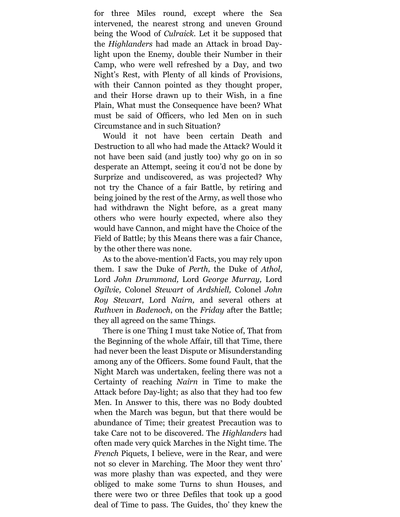for three Miles round, except where the Sea intervened, the nearest strong and uneven Ground being the Wood of *Culraick.* Let it be supposed that the *Highlanders* had made an Attack in broad Daylight upon the Enemy, double their Number in their Camp, who were well refreshed by a Day, and two Night's Rest, with Plenty of all kinds of Provisions, with their Cannon pointed as they thought proper, and their Horse drawn up to their Wish, in a fine Plain, What must the Consequence have been? What must be said of Officers, who led Men on in such Circumstance and in such Situation?

Would it not have been certain Death and Destruction to all who had made the Attack? Would it not have been said (and justly too) why go on in so desperate an Attempt, seeing it cou'd not be done by Surprize and undiscovered, as was projected? Why not try the Chance of a fair Battle, by retiring and being joined by the rest of the Army, as well those who had withdrawn the Night before, as a great many others who were hourly expected, where also they would have Cannon, and might have the Choice of the Field of Battle; by this Means there was a fair Chance, by the other there was none.

As to the above-mention'd Facts, you may rely upon them. I saw the Duke of *Perth,* the Duke of *Athol*, Lord *John Drummond,* Lord *George Murray,* Lord *Ogilvie,* Colonel *Stewart* of *Ardshiell,* Colonel *John Roy Stewart*, Lord *Nairn,* and several others at *Ruthven* in *Badenoch*, on the *Friday* after the Battle; they all agreed on the same Things.

There is one Thing I must take Notice of, That from the Beginning of the whole Affair, till that Time, there had never been the least Dispute or Misunderstanding among any of the Officers. Some found Fault, that the Night March was undertaken, feeling there was not a Certainty of reaching *Nairn* in Time to make the Attack before Day-light; as also that they had too few Men. In Answer to this, there was no Body doubted when the March was begun, but that there would be abundance of Time; their greatest Precaution was to take Care not to be discovered. The *Highlanders* had often made very quick Marches in the Night time. The *French* Piquets, I believe, were in the Rear, and were not so clever in Marching. The Moor they went thro' was more plashy than was expected, and they were obliged to make some Turns to shun Houses, and there were two or three Defiles that took up a good deal of Time to pass. The Guides, tho' they knew the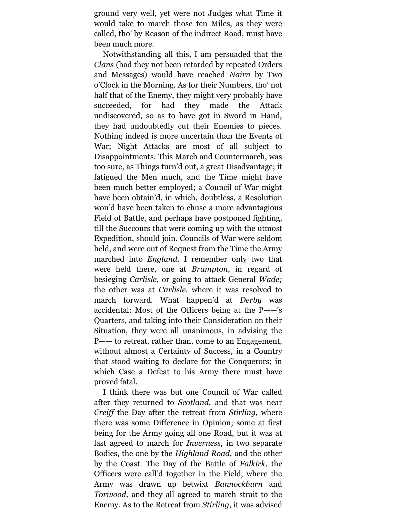ground very well, yet were not Judges what Time it would take to march those ten Miles, as they were called, tho' by Reason of the indirect Road, must have been much more.

Notwithstanding all this, I am persuaded that the *Clans* (had they not been retarded by repeated Orders and Messages) would have reached *Nairn* by Two o'Clock in the Morning. As for their Numbers, tho' not half that of the Enemy, they might very probably have succeeded, for had they made the Attack undiscovered, so as to have got in Sword in Hand, they had undoubtedly cut their Enemies to pieces. Nothing indeed is more uncertain than the Events of War; Night Attacks are most of all subject to Disappointments. This March and Countermarch, was too sure, as Things turn'd out, a great Disadvantage; it fatigued the Men much, and the Time might have been much better employed; a Council of War might have been obtain'd, in which, doubtless, a Resolution wou'd have been taken to chuse a more advantagious Field of Battle, and perhaps have postponed fighting, till the Succours that were coming up with the utmost Expedition, should join. Councils of War were seldom held, and were out of Request from the Time the Army marched into *England*. I remember only two that were held there, one at *Brampton*, in regard of besieging *Carlisle*, or going to attack General *Wade;* the other was at *Carlisle,* where it was resolved to march forward. What happen'd at *Derby* was accidental: Most of the Officers being at the P——'s Quarters, and taking into their Consideration on their Situation, they were all unanimous, in advising the P—— to retreat, rather than, come to an Engagement, without almost a Certainty of Success, in a Country that stood waiting to declare for the Conquerors; in which Case a Defeat to his Army there must have proved fatal.

I think there was but one Council of War called after they returned to *Scotland,* and that was near *Creiff* the Day after the retreat from *Stirling,* where there was some Difference in Opinion; some at first being for the Army going all one Road, but it was at last agreed to march for *Inverness*, in two separate Bodies, the one by the *Highland Road,* and the other by the Coast. The Day of the Battle of *Falkirk*, the Officers were call'd together in the Field, where the Army was drawn up betwixt *Bannockburn* and *Torwood,* and they all agreed to march strait to the Enemy. As to the Retreat from *Stirling*, it was advised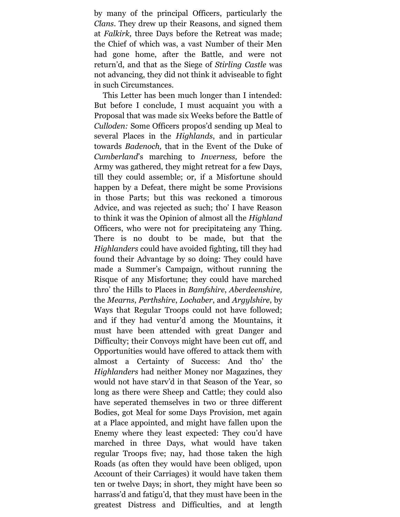by many of the principal Officers, particularly the *Clans*. They drew up their Reasons, and signed them at *Falkirk,* three Days before the Retreat was made; the Chief of which was, a vast Number of their Men had gone home, after the Battle, and were not return'd, and that as the Siege of *Stirling Castle* was not advancing, they did not think it adviseable to fight in such Circumstances.

This Letter has been much longer than I intended: But before I conclude, I must acquaint you with a Proposal that was made six Weeks before the Battle of *Culloden:* Some Officers propos'd sending up Meal to several Places in the *Highlands*, and in particular towards *Badenoch,* that in the Event of the Duke of *Cumberland*'s marching to *Inverness,* before the Army was gathered, they might retreat for a few Days, till they could assemble; or, if a Misfortune should happen by a Defeat, there might be some Provisions in those Parts; but this was reckoned a timorous Advice, and was rejected as such; tho' I have Reason to think it was the Opinion of almost all the *Highland* Officers, who were not for precipitateing any Thing. There is no doubt to be made, but that the *Highlanders* could have avoided fighting, till they had found their Advantage by so doing: They could have made a Summer's Campaign, without running the Risque of any Misfortune; they could have marched thro' the Hills to Places in *Bamfshire*, *Aberdeenshire,* the *Mearns*, *Perthshire*, *Lochaber*, and *Argylshire*, by Ways that Regular Troops could not have followed; and if they had ventur'd among the Mountains, it must have been attended with great Danger and Difficulty; their Convoys might have been cut off, and Opportunities would have offered to attack them with almost a Certainty of Success: And tho' the *Highlanders* had neither Money nor Magazines, they would not have starv'd in that Season of the Year, so long as there were Sheep and Cattle; they could also have seperated themselves in two or three different Bodies, got Meal for some Days Provision, met again at a Place appointed, and might have fallen upon the Enemy where they least expected: They cou'd have marched in three Days, what would have taken regular Troops five; nay, had those taken the high Roads (as often they would have been obliged, upon Account of their Carriages) it would have taken them ten or twelve Days; in short, they might have been so harrass'd and fatigu'd, that they must have been in the greatest Distress and Difficulties, and at length